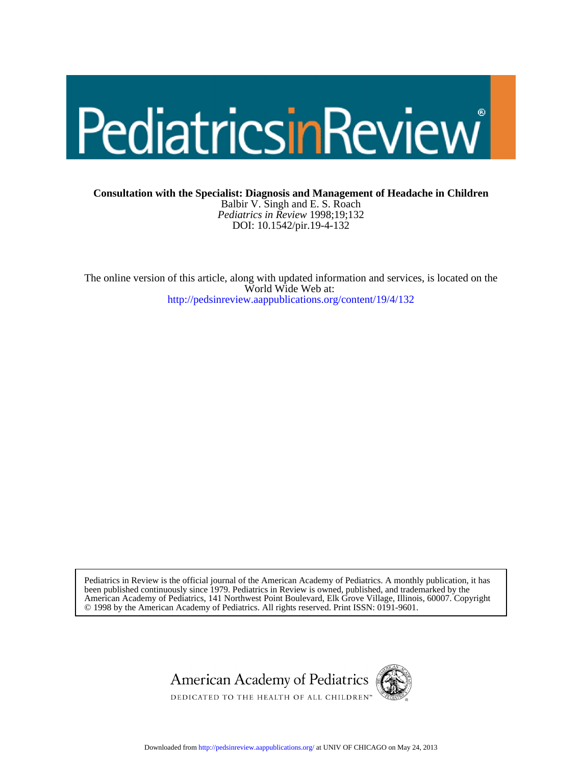# PediatricsinReview®

# **Consultation with the Specialist: Diagnosis and Management of Headache in Children**

DOI: 10.1542/pir.19-4-132 *Pediatrics in Review* 1998;19;132 Balbir V. Singh and E. S. Roach

<http://pedsinreview.aappublications.org/content/19/4/132> World Wide Web at: The online version of this article, along with updated information and services, is located on the

© 1998 by the American Academy of Pediatrics. All rights reserved. Print ISSN: 0191-9601. American Academy of Pediatrics, 141 Northwest Point Boulevard, Elk Grove Village, Illinois, 60007. Copyright been published continuously since 1979. Pediatrics in Review is owned, published, and trademarked by the Pediatrics in Review is the official journal of the American Academy of Pediatrics. A monthly publication, it has



Downloaded from<http://pedsinreview.aappublications.org/>at UNIV OF CHICAGO on May 24, 2013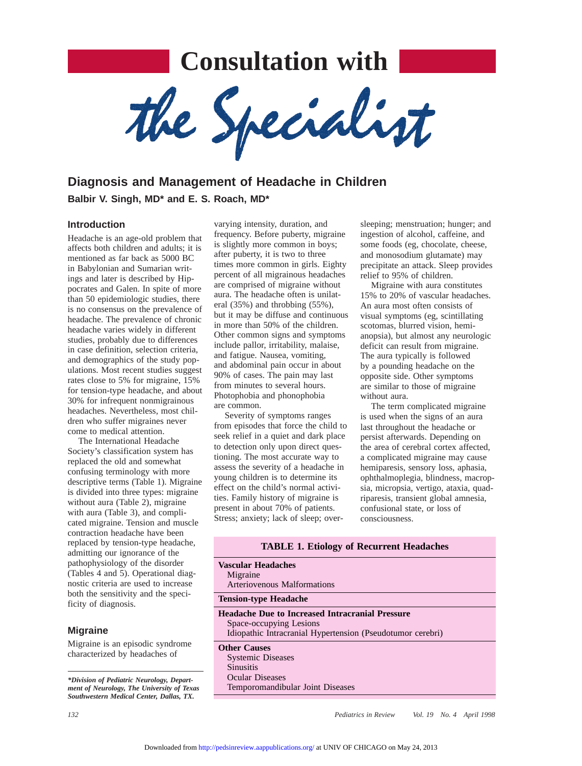# **Consultation with**

the Specialist

# **Diagnosis and Management of Headache in Children Balbir V. Singh, MD\* and E. S. Roach, MD\***

#### **Introduction**

Headache is an age-old problem that affects both children and adults; it is mentioned as far back as 5000 BC in Babylonian and Sumarian writings and later is described by Hippocrates and Galen. In spite of more than 50 epidemiologic studies, there is no consensus on the prevalence of headache. The prevalence of chronic headache varies widely in different studies, probably due to differences in case definition, selection criteria, and demographics of the study populations. Most recent studies suggest rates close to 5% for migraine, 15% for tension-type headache, and about 30% for infrequent nonmigrainous headaches. Nevertheless, most children who suffer migraines never come to medical attention.

The International Headache Society's classification system has replaced the old and somewhat confusing terminology with more descriptive terms (Table 1). Migraine is divided into three types: migraine without aura (Table 2), migraine with aura (Table 3), and complicated migraine. Tension and muscle contraction headache have been replaced by tension-type headache, admitting our ignorance of the pathophysiology of the disorder (Tables 4 and 5). Operational diagnostic criteria are used to increase both the sensitivity and the specificity of diagnosis.

#### **Migraine**

Migraine is an episodic syndrome characterized by headaches of

*\*Division of Pediatric Neurology, Department of Neurology, The University of Texas Southwestern Medical Center, Dallas, TX.*

varying intensity, duration, and frequency. Before puberty, migraine is slightly more common in boys; after puberty, it is two to three times more common in girls. Eighty percent of all migrainous headaches are comprised of migraine without aura. The headache often is unilateral (35%) and throbbing (55%), but it may be diffuse and continuous in more than 50% of the children. Other common signs and symptoms include pallor, irritability, malaise, and fatigue. Nausea, vomiting, and abdominal pain occur in about 90% of cases. The pain may last from minutes to several hours. Photophobia and phonophobia are common.

Severity of symptoms ranges from episodes that force the child to seek relief in a quiet and dark place to detection only upon direct questioning. The most accurate way to assess the severity of a headache in young children is to determine its effect on the child's normal activities. Family history of migraine is present in about 70% of patients. Stress; anxiety; lack of sleep; over-

sleeping; menstruation; hunger; and ingestion of alcohol, caffeine, and some foods (eg, chocolate, cheese, and monosodium glutamate) may precipitate an attack. Sleep provides relief to 95% of children.

Migraine with aura constitutes 15% to 20% of vascular headaches. An aura most often consists of visual symptoms (eg, scintillating scotomas, blurred vision, hemianopsia), but almost any neurologic deficit can result from migraine. The aura typically is followed by a pounding headache on the opposite side. Other symptoms are similar to those of migraine without aura.

The term complicated migraine is used when the signs of an aura last throughout the headache or persist afterwards. Depending on the area of cerebral cortex affected, a complicated migraine may cause hemiparesis, sensory loss, aphasia, ophthalmoplegia, blindness, macropsia, micropsia, vertigo, ataxia, quadriparesis, transient global amnesia, confusional state, or loss of consciousness.

# **TABLE 1. Etiology of Recurrent Headaches Vascular Headaches** Migraine Arteriovenous Malformations **Tension-type Headache Headache Due to Increased Intracranial Pressure** Space-occupying Lesions Idiopathic Intracranial Hypertension (Pseudotumor cerebri) **Other Causes** Systemic Diseases

**Sinusitis** Ocular Diseases Temporomandibular Joint Diseases

*132 Pediatrics in Review Vol. 19 No. 4 April 1998*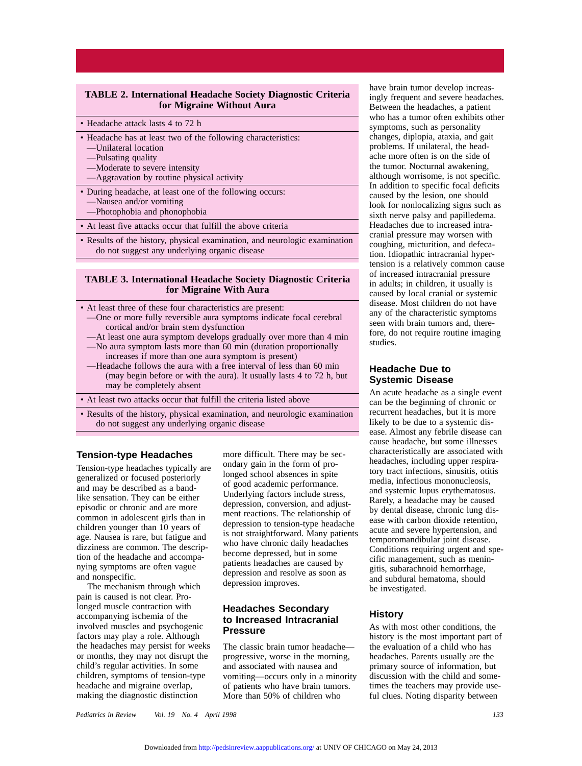#### **TABLE 2. International Headache Society Diagnostic Criteria for Migraine Without Aura**

- Headache attack lasts 4 to 72 h
- Headache has at least two of the following characteristics:
- —Unilateral location
- —Pulsating quality
- —Moderate to severe intensity
- —Aggravation by routine physical activity
- During headache, at least one of the following occurs: —Nausea and/or vomiting
- —Photophobia and phonophobia
- At least five attacks occur that fulfill the above criteria
- Results of the history, physical examination, and neurologic examination do not suggest any underlying organic disease

#### **TABLE 3. International Headache Society Diagnostic Criteria for Migraine With Aura**

- At least three of these four characteristics are present:
- —One or more fully reversible aura symptoms indicate focal cerebral cortical and/or brain stem dysfunction
- —At least one aura symptom develops gradually over more than 4 min
- —No aura symptom lasts more than 60 min (duration proportionally increases if more than one aura symptom is present) —Headache follows the aura with a free interval of less than 60 min
- (may begin before or with the aura). It usually lasts 4 to 72 h, but may be completely absent
- At least two attacks occur that fulfill the criteria listed above
- Results of the history, physical examination, and neurologic examination do not suggest any underlying organic disease

#### **Tension-type Headaches**

Tension-type headaches typically are generalized or focused posteriorly and may be described as a bandlike sensation. They can be either episodic or chronic and are more common in adolescent girls than in children younger than 10 years of age. Nausea is rare, but fatigue and dizziness are common. The description of the headache and accompanying symptoms are often vague and nonspecific.

The mechanism through which pain is caused is not clear. Prolonged muscle contraction with accompanying ischemia of the involved muscles and psychogenic factors may play a role. Although the headaches may persist for weeks or months, they may not disrupt the child's regular activities. In some children, symptoms of tension-type headache and migraine overlap, making the diagnostic distinction

more difficult. There may be secondary gain in the form of prolonged school absences in spite of good academic performance. Underlying factors include stress, depression, conversion, and adjustment reactions. The relationship of depression to tension-type headache is not straightforward. Many patients who have chronic daily headaches become depressed, but in some patients headaches are caused by depression and resolve as soon as depression improves.

### **Headaches Secondary to Increased Intracranial Pressure**

The classic brain tumor headache progressive, worse in the morning, and associated with nausea and vomiting—occurs only in a minority of patients who have brain tumors. More than 50% of children who

have brain tumor develop increasingly frequent and severe headaches. Between the headaches, a patient who has a tumor often exhibits other symptoms, such as personality changes, diplopia, ataxia, and gait problems. If unilateral, the headache more often is on the side of the tumor. Nocturnal awakening, although worrisome, is not specific. In addition to specific focal deficits caused by the lesion, one should look for nonlocalizing signs such as sixth nerve palsy and papilledema. Headaches due to increased intracranial pressure may worsen with coughing, micturition, and defecation. Idiopathic intracranial hypertension is a relatively common cause of increased intracranial pressure in adults; in children, it usually is caused by local cranial or systemic disease. Most children do not have any of the characteristic symptoms seen with brain tumors and, therefore, do not require routine imaging studies.

#### **Headache Due to Systemic Disease**

An acute headache as a single event can be the beginning of chronic or recurrent headaches, but it is more likely to be due to a systemic disease. Almost any febrile disease can cause headache, but some illnesses characteristically are associated with headaches, including upper respiratory tract infections, sinusitis, otitis media, infectious mononucleosis, and systemic lupus erythematosus. Rarely, a headache may be caused by dental disease, chronic lung disease with carbon dioxide retention, acute and severe hypertension, and temporomandibular joint disease. Conditions requiring urgent and specific management, such as meningitis, subarachnoid hemorrhage, and subdural hematoma, should be investigated.

### **History**

As with most other conditions, the history is the most important part of the evaluation of a child who has headaches. Parents usually are the primary source of information, but discussion with the child and sometimes the teachers may provide useful clues. Noting disparity between

*Pediatrics in Review Vol. 19 No. 4 April 1998 133*

Downloaded from<http://pedsinreview.aappublications.org/>at UNIV OF CHICAGO on May 24, 2013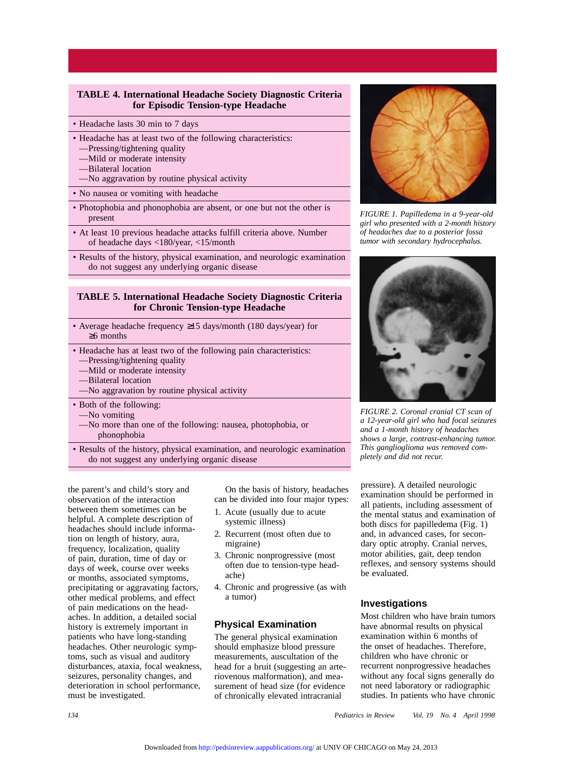#### **TABLE 4. International Headache Society Diagnostic Criteria for Episodic Tension-type Headache**

- Headache lasts 30 min to 7 days
- Headache has at least two of the following characteristics:
- —Pressing/tightening quality
- —Mild or moderate intensity —Bilateral location
- —No aggravation by routine physical activity
- No nausea or vomiting with headache
- Photophobia and phonophobia are absent, or one but not the other is present
- At least 10 previous headache attacks fulfill criteria above. Number of headache days <180/year, <15/month
- Results of the history, physical examination, and neurologic examination do not suggest any underlying organic disease

#### **TABLE 5. International Headache Society Diagnostic Criteria for Chronic Tension-type Headache**

- Average headache frequency ≥15 days/month (180 days/year) for ≥6 months
- Headache has at least two of the following pain characteristics: —Pressing/tightening quality —Mild or moderate intensity —Bilateral location
	- —No aggravation by routine physical activity
- Both of the following:
- —No vomiting
- —No more than one of the following: nausea, photophobia, or phonophobia
- Results of the history, physical examination, and neurologic examination do not suggest any underlying organic disease

the parent's and child's story and observation of the interaction between them sometimes can be helpful. A complete description of headaches should include information on length of history, aura, frequency, localization, quality of pain, duration, time of day or days of week, course over weeks or months, associated symptoms, precipitating or aggravating factors, other medical problems, and effect of pain medications on the headaches. In addition, a detailed social history is extremely important in patients who have long-standing headaches. Other neurologic symptoms, such as visual and auditory disturbances, ataxia, focal weakness, seizures, personality changes, and deterioration in school performance, must be investigated.

On the basis of history, headaches can be divided into four major types:

- 1. Acute (usually due to acute systemic illness)
- 2. Recurrent (most often due to migraine)
- 3. Chronic nonprogressive (most often due to tension-type headache)
- 4. Chronic and progressive (as with a tumor)

### **Physical Examination**

The general physical examination should emphasize blood pressure measurements, auscultation of the head for a bruit (suggesting an arteriovenous malformation), and measurement of head size (for evidence of chronically elevated intracranial



*FIGURE 1. Papilledema in a 9-year-old girl who presented with a 2-month history of headaches due to a posterior fossa tumor with secondary hydrocephalus.*



*FIGURE 2. Coronal cranial CT scan of a 12-year-old girl who had focal seizures and a 1-month history of headaches shows a large, contrast-enhancing tumor. This ganglioglioma was removed completely and did not recur.*

pressure). A detailed neurologic examination should be performed in all patients, including assessment of the mental status and examination of both discs for papilledema (Fig. 1) and, in advanced cases, for secondary optic atrophy. Cranial nerves, motor abilities, gait, deep tendon reflexes, and sensory systems should be evaluated.

#### **Investigations**

Most children who have brain tumors have abnormal results on physical examination within 6 months of the onset of headaches. Therefore, children who have chronic or recurrent nonprogressive headaches without any focal signs generally do not need laboratory or radiographic studies. In patients who have chronic

*134 Pediatrics in Review Vol. 19 No. 4 April 1998*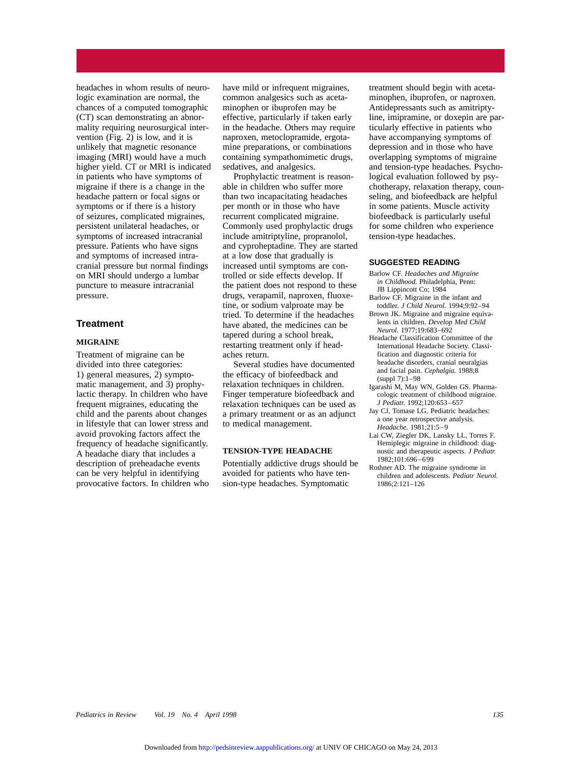headaches in whom results of neurologic examination are normal, the chances of a computed tomographic (CT) scan demonstrating an abnormality requiring neurosurgical intervention (Fig. 2) is low, and it is unlikely that magnetic resonance imaging (MRI) would have a much higher yield. CT or MRI is indicated in patients who have symptoms of migraine if there is a change in the headache pattern or focal signs or symptoms or if there is a history of seizures, complicated migraines, persistent unilateral headaches, or symptoms of increased intracranial pressure. Patients who have signs and symptoms of increased intracranial pressure but normal findings on MRI should undergo a lumbar puncture to measure intracranial pressure.

#### **Treatment**

#### **MIGRAINE**

Treatment of migraine can be divided into three categories: 1) general measures, 2) symptomatic management, and 3) prophylactic therapy. In children who have frequent migraines, educating the child and the parents about changes in lifestyle that can lower stress and avoid provoking factors affect the frequency of headache significantly. A headache diary that includes a description of preheadache events can be very helpful in identifying provocative factors. In children who have mild or infrequent migraines, common analgesics such as acetaminophen or ibuprofen may be effective, particularly if taken early in the headache. Others may require naproxen, metoclopramide, ergotamine preparations, or combinations containing sympathomimetic drugs, sedatives, and analgesics.

Prophylactic treatment is reasonable in children who suffer more than two incapacitating headaches per month or in those who have recurrent complicated migraine. Commonly used prophylactic drugs include amitriptyline, propranolol, and cyproheptadine. They are started at a low dose that gradually is increased until symptoms are controlled or side effects develop. If the patient does not respond to these drugs, verapamil, naproxen, fluoxetine, or sodium valproate may be tried. To determine if the headaches have abated, the medicines can be tapered during a school break, restarting treatment only if headaches return.

Several studies have documented the efficacy of biofeedback and relaxation techniques in children. Finger temperature biofeedback and relaxation techniques can be used as a primary treatment or as an adjunct to medical management.

#### **TENSION-TYPE HEADACHE**

Potentially addictive drugs should be avoided for patients who have tension-type headaches. Symptomatic

treatment should begin with acetaminophen, ibuprofen, or naproxen. Antidepressants such as amitriptyline, imipramine, or doxepin are particularly effective in patients who have accompanying symptoms of depression and in those who have overlapping symptoms of migraine and tension-type headaches. Psychological evaluation followed by psychotherapy, relaxation therapy, counseling, and biofeedback are helpful in some patients. Muscle activity biofeedback is particularly useful for some children who experience tension-type headaches.

#### **SUGGESTED READING**

- Barlow CF. *Headaches and Migraine in Childhood.* Philadelphia, Penn: JB Lippincott Co; 1984
- Barlow CF. Migraine in the infant and toddler. *J Child Neurol.* 1994;9:92–94
- Brown JK. Migraine and migraine equivalents in children. *Develop Med Child Neurol.* 1977;19:683–692
- Headache Classification Committee of the International Headache Society. Classification and diagnostic criteria for headache disorders, cranial neuralgias and facial pain. *Cephalgia.* 1988;8  $(suppl 7):1-98$
- Igarashi M, May WN, Golden GS. Pharmacologic treatment of childhood migraine. *J Pediatr.* 1992;120:653–657
- Jay CJ, Tomase LG. Pediatric headaches: a one year retrospective analysis. *Headache.* 1981;21:5–9
- Lai CW, Ziegler DK, Lansky LL, Torres F. Hemiplegic migraine in childhood: diagnostic and therapeutic aspects. *J Pediatr.* 1982;101:696–699
- Rothner AD. The migraine syndrome in children and adolescents. *Pediatr Neurol.* 1986;2:121–126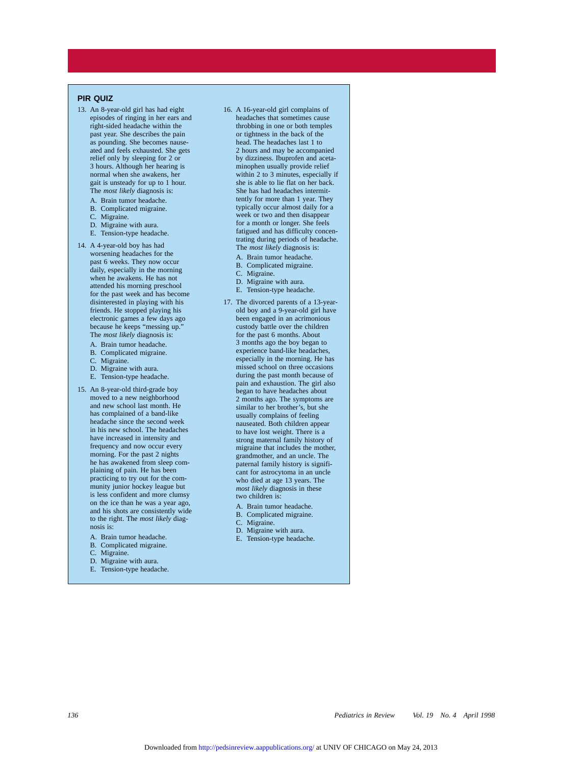#### **PIR QUIZ**

- 13. An 8-year-old girl has had eight episodes of ringing in her ears and right-sided headache within the past year. She describes the pain as pounding. She becomes nauseated and feels exhausted. She gets relief only by sleeping for 2 or 3 hours. Although her hearing is normal when she awakens, her gait is unsteady for up to 1 hour. The *most likely* diagnosis is:
	- A. Brain tumor headache.
	- B. Complicated migraine.
	- C. Migraine.
	- D. Migraine with aura.
	- E. Tension-type headache.
- 14. A 4-year-old boy has had worsening headaches for the past 6 weeks. They now occur daily, especially in the morning when he awakens. He has not attended his morning preschool for the past week and has become disinterested in playing with his friends. He stopped playing his electronic games a few days ago because he keeps "messing up." The *most likely* diagnosis is:
	- A. Brain tumor headache.
	- B. Complicated migraine.
	- C. Migraine.
	- D. Migraine with aura.
	- E. Tension-type headache.
- 15. An 8-year-old third-grade boy moved to a new neighborhood and new school last month. He has complained of a band-like headache since the second week in his new school. The headaches have increased in intensity and frequency and now occur every morning. For the past 2 nights he has awakened from sleep complaining of pain. He has been practicing to try out for the community junior hockey league but is less confident and more clumsy on the ice than he was a year ago, and his shots are consistently wide to the right. The *most likely* diagnosis is:
	- A. Brain tumor headache.
	- B. Complicated migraine.
	- C. Migraine.
	-
	- D. Migraine with aura.
	- E. Tension-type headache.
- 16. A 16-year-old girl complains of headaches that sometimes cause throbbing in one or both temples or tightness in the back of the head. The headaches last 1 to 2 hours and may be accompanied by dizziness. Ibuprofen and acetaminophen usually provide relief within 2 to 3 minutes, especially if she is able to lie flat on her back. She has had headaches intermittently for more than 1 year. They typically occur almost daily for a week or two and then disappear for a month or longer. She feels fatigued and has difficulty concentrating during periods of headache. The *most likely* diagnosis is:
	- A. Brain tumor headache.
	- B. Complicated migraine.
	- C. Migraine.
	- D. Migraine with aura.
	- E. Tension-type headache.
- 17. The divorced parents of a 13-yearold boy and a 9-year-old girl have been engaged in an acrimonious custody battle over the children for the past 6 months. About 3 months ago the boy began to experience band-like headaches, especially in the morning. He has missed school on three occasions during the past month because of pain and exhaustion. The girl also began to have headaches about 2 months ago. The symptoms are similar to her brother's, but she usually complains of feeling nauseated. Both children appear to have lost weight. There is a strong maternal family history of migraine that includes the mother, grandmother, and an uncle. The paternal family history is significant for astrocytoma in an uncle who died at age 13 years. The *most likely* diagnosis in these two children is:
	- A. Brain tumor headache.
	- B. Complicated migraine.
	- C. Migraine.
	- D. Migraine with aura.
	- E. Tension-type headache.